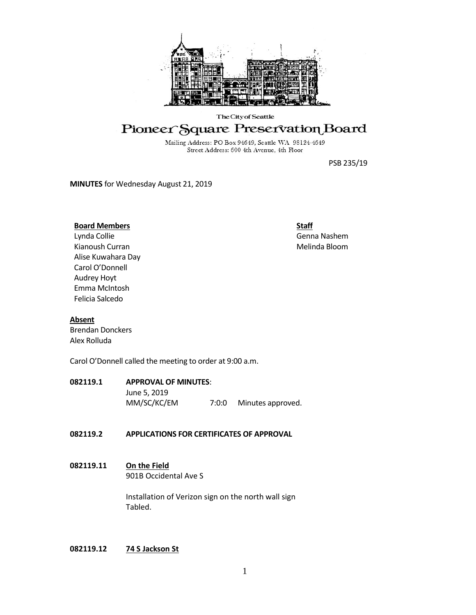

#### The City of Seattle

## Pioneer Square Preservation Board

Mailing Address: PO Box 94649, Seattle WA 98124-4649 Street Address: 600 4th Avenue, 4th Floor

PSB 235/19

**MINUTES** for Wednesday August 21, 2019

#### **Board Members**

Lynda Collie Kianoush Curran Alise Kuwahara Day Carol O'Donnell Audrey Hoyt Emma McIntosh Felicia Salcedo

**Staff** Genna Nashem Melinda Bloom

#### **Absent**

Brendan Donckers Alex Rolluda

Carol O'Donnell called the meeting to order at 9:00 a.m.

#### **082119.1 APPROVAL OF MINUTES**:

June 5, 2019

MM/SC/KC/EM 7:0:0 Minutes approved.

#### **082119.2 APPLICATIONS FOR CERTIFICATES OF APPROVAL**

#### **082119.11 On the Field** 901B Occidental Ave S

Installation of Verizon sign on the north wall sign Tabled.

#### **082119.12 74 S Jackson St**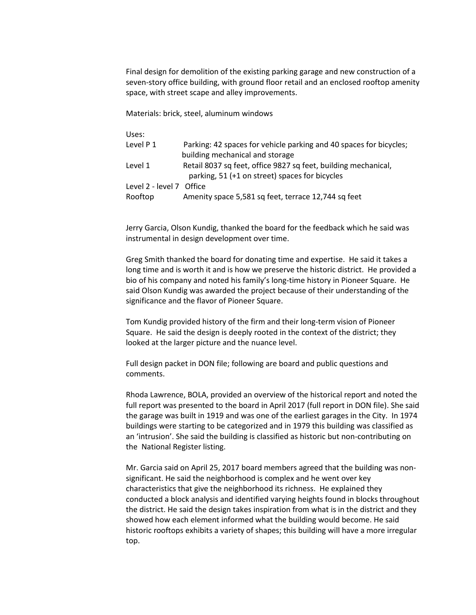Final design for demolition of the existing parking garage and new construction of a seven-story office building, with ground floor retail and an enclosed rooftop amenity space, with street scape and alley improvements.

Materials: brick, steel, aluminum windows

Uses:

| Level P 1                | Parking: 42 spaces for vehicle parking and 40 spaces for bicycles; |
|--------------------------|--------------------------------------------------------------------|
|                          | building mechanical and storage                                    |
| Level 1                  | Retail 8037 sq feet, office 9827 sq feet, building mechanical,     |
|                          | parking, 51 (+1 on street) spaces for bicycles                     |
| Level 2 - level 7 Office |                                                                    |
| Rooftop                  | Amenity space 5,581 sq feet, terrace 12,744 sq feet                |

Jerry Garcia, Olson Kundig, thanked the board for the feedback which he said was instrumental in design development over time.

Greg Smith thanked the board for donating time and expertise. He said it takes a long time and is worth it and is how we preserve the historic district. He provided a bio of his company and noted his family's long-time history in Pioneer Square. He said Olson Kundig was awarded the project because of their understanding of the significance and the flavor of Pioneer Square.

Tom Kundig provided history of the firm and their long-term vision of Pioneer Square. He said the design is deeply rooted in the context of the district; they looked at the larger picture and the nuance level.

Full design packet in DON file; following are board and public questions and comments.

Rhoda Lawrence, BOLA, provided an overview of the historical report and noted the full report was presented to the board in April 2017 (full report in DON file). She said the garage was built in 1919 and was one of the earliest garages in the City. In 1974 buildings were starting to be categorized and in 1979 this building was classified as an 'intrusion'. She said the building is classified as historic but non-contributing on the National Register listing.

Mr. Garcia said on April 25, 2017 board members agreed that the building was nonsignificant. He said the neighborhood is complex and he went over key characteristics that give the neighborhood its richness. He explained they conducted a block analysis and identified varying heights found in blocks throughout the district. He said the design takes inspiration from what is in the district and they showed how each element informed what the building would become. He said historic rooftops exhibits a variety of shapes; this building will have a more irregular top.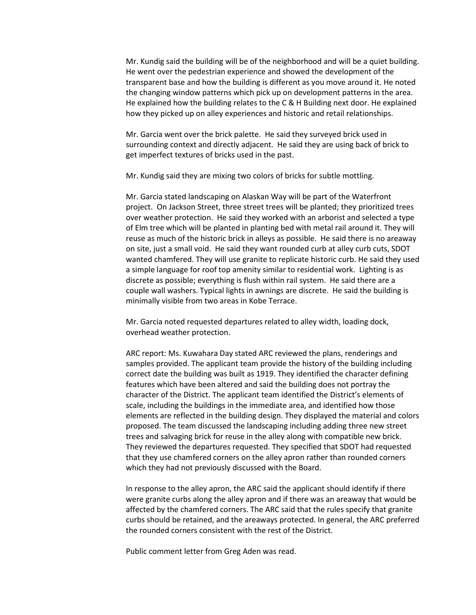Mr. Kundig said the building will be of the neighborhood and will be a quiet building. He went over the pedestrian experience and showed the development of the transparent base and how the building is different as you move around it. He noted the changing window patterns which pick up on development patterns in the area. He explained how the building relates to the C & H Building next door. He explained how they picked up on alley experiences and historic and retail relationships.

Mr. Garcia went over the brick palette. He said they surveyed brick used in surrounding context and directly adjacent. He said they are using back of brick to get imperfect textures of bricks used in the past.

Mr. Kundig said they are mixing two colors of bricks for subtle mottling.

Mr. Garcia stated landscaping on Alaskan Way will be part of the Waterfront project. On Jackson Street, three street trees will be planted; they prioritized trees over weather protection. He said they worked with an arborist and selected a type of Elm tree which will be planted in planting bed with metal rail around it. They will reuse as much of the historic brick in alleys as possible. He said there is no areaway on site, just a small void. He said they want rounded curb at alley curb cuts, SDOT wanted chamfered. They will use granite to replicate historic curb. He said they used a simple language for roof top amenity similar to residential work. Lighting is as discrete as possible; everything is flush within rail system. He said there are a couple wall washers. Typical lights in awnings are discrete. He said the building is minimally visible from two areas in Kobe Terrace.

Mr. Garcia noted requested departures related to alley width, loading dock, overhead weather protection.

ARC report: Ms. Kuwahara Day stated ARC reviewed the plans, renderings and samples provided. The applicant team provide the history of the building including correct date the building was built as 1919. They identified the character defining features which have been altered and said the building does not portray the character of the District. The applicant team identified the District's elements of scale, including the buildings in the immediate area, and identified how those elements are reflected in the building design. They displayed the material and colors proposed. The team discussed the landscaping including adding three new street trees and salvaging brick for reuse in the alley along with compatible new brick. They reviewed the departures requested. They specified that SDOT had requested that they use chamfered corners on the alley apron rather than rounded corners which they had not previously discussed with the Board.

In response to the alley apron, the ARC said the applicant should identify if there were granite curbs along the alley apron and if there was an areaway that would be affected by the chamfered corners. The ARC said that the rules specify that granite curbs should be retained, and the areaways protected. In general, the ARC preferred the rounded corners consistent with the rest of the District.

Public comment letter from Greg Aden was read.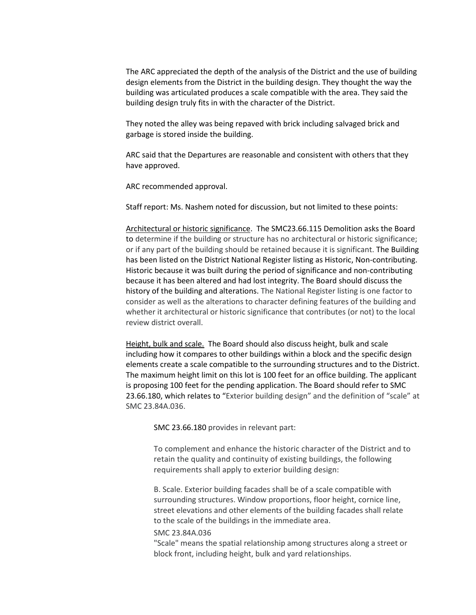The ARC appreciated the depth of the analysis of the District and the use of building design elements from the District in the building design. They thought the way the building was articulated produces a scale compatible with the area. They said the building design truly fits in with the character of the District.

They noted the alley was being repaved with brick including salvaged brick and garbage is stored inside the building.

ARC said that the Departures are reasonable and consistent with others that they have approved.

ARC recommended approval.

Staff report: Ms. Nashem noted for discussion, but not limited to these points:

Architectural or historic significance. The SMC23.66.115 Demolition asks the Board to determine if the building or structure has no architectural or historic significance; or if any part of the building should be retained because it is significant. The Building has been listed on the District National Register listing as Historic, Non-contributing. Historic because it was built during the period of significance and non-contributing because it has been altered and had lost integrity. The Board should discuss the history of the building and alterations. The National Register listing is one factor to consider as well as the alterations to character defining features of the building and whether it architectural or historic significance that contributes (or not) to the local review district overall.

Height, bulk and scale. The Board should also discuss height, bulk and scale including how it compares to other buildings within a block and the specific design elements create a scale compatible to the surrounding structures and to the District. The maximum height limit on this lot is 100 feet for an office building. The applicant is proposing 100 feet for the pending application. The Board should refer to SMC 23.66.180, which relates to "Exterior building design" and the definition of "scale" at SMC 23.84A.036.

SMC 23.66.180 provides in relevant part:

To complement and enhance the historic character of the District and to retain the quality and continuity of existing buildings, the following requirements shall apply to exterior building design:

B. Scale. Exterior building facades shall be of a scale compatible with surrounding structures. Window proportions, floor height, cornice line, street elevations and other elements of the building facades shall relate to the scale of the buildings in the immediate area.

#### SMC 23.84A.036

"Scale" means the spatial relationship among structures along a street or block front, including height, bulk and yard relationships.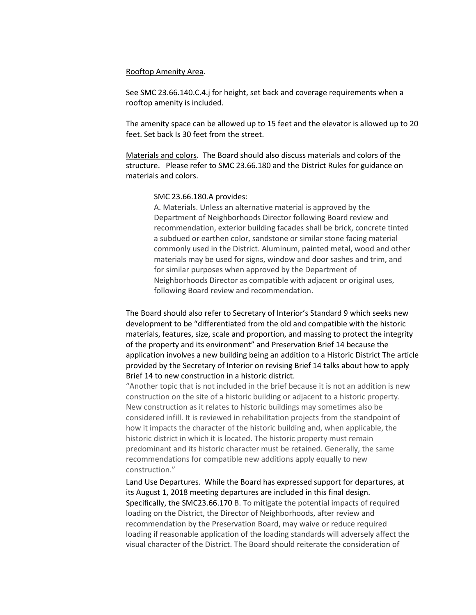#### Rooftop Amenity Area.

See SMC 23.66.140.C.4.j for height, set back and coverage requirements when a rooftop amenity is included.

The amenity space can be allowed up to 15 feet and the elevator is allowed up to 20 feet. Set back Is 30 feet from the street.

Materials and colors. The Board should also discuss materials and colors of the structure. Please refer to SMC 23.66.180 and the District Rules for guidance on materials and colors.

#### SMC 23.66.180.A provides:

A. Materials. Unless an alternative material is approved by the Department of Neighborhoods Director following Board review and recommendation, exterior building facades shall be brick, concrete tinted a subdued or earthen color, sandstone or similar stone facing material commonly used in the District. Aluminum, painted metal, wood and other materials may be used for signs, window and door sashes and trim, and for similar purposes when approved by the Department of Neighborhoods Director as compatible with adjacent or original uses, following Board review and recommendation.

The Board should also refer to Secretary of Interior's Standard 9 which seeks new development to be "differentiated from the old and compatible with the historic materials, features, size, scale and proportion, and massing to protect the integrity of the property and its environment" and Preservation Brief 14 because the application involves a new building being an addition to a Historic District The article provided by the Secretary of Interior on revising Brief 14 talks about how to apply Brief 14 to new construction in a historic district.

"Another topic that is not included in the brief because it is not an addition is new construction on the site of a historic building or adjacent to a historic property. New construction as it relates to historic buildings may sometimes also be considered infill. It is reviewed in rehabilitation projects from the standpoint of how it impacts the character of the historic building and, when applicable, the historic district in which it is located. The historic property must remain predominant and its historic character must be retained. Generally, the same recommendations for compatible new additions apply equally to new construction."

Land Use Departures. While the Board has expressed support for departures, at its August 1, 2018 meeting departures are included in this final design. Specifically, the SMC23.66.170 B. To mitigate the potential impacts of required loading on the District, the Director of Neighborhoods, after review and recommendation by the Preservation Board, may waive or reduce required loading if reasonable application of the loading standards will adversely affect the visual character of the District. The Board should reiterate the consideration of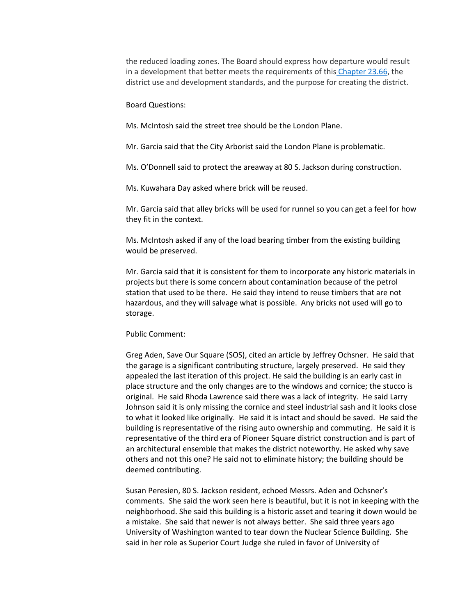the reduced loading zones. The Board should express how departure would result in a development that better meets the requirements of this [Chapter 23.66,](https://library.municode.com/wa/seattle/codes/municipal_code?nodeId=TIT23LAUSCO_SUBTITLE_IIILAUSRE_CH23.66SPREDI) the district use and development standards, and the purpose for creating the district.

Board Questions:

Ms. McIntosh said the street tree should be the London Plane.

Mr. Garcia said that the City Arborist said the London Plane is problematic.

Ms. O'Donnell said to protect the areaway at 80 S. Jackson during construction.

Ms. Kuwahara Day asked where brick will be reused.

Mr. Garcia said that alley bricks will be used for runnel so you can get a feel for how they fit in the context.

Ms. McIntosh asked if any of the load bearing timber from the existing building would be preserved.

Mr. Garcia said that it is consistent for them to incorporate any historic materials in projects but there is some concern about contamination because of the petrol station that used to be there. He said they intend to reuse timbers that are not hazardous, and they will salvage what is possible. Any bricks not used will go to storage.

#### Public Comment:

Greg Aden, Save Our Square (SOS), cited an article by Jeffrey Ochsner. He said that the garage is a significant contributing structure, largely preserved. He said they appealed the last iteration of this project. He said the building is an early cast in place structure and the only changes are to the windows and cornice; the stucco is original. He said Rhoda Lawrence said there was a lack of integrity. He said Larry Johnson said it is only missing the cornice and steel industrial sash and it looks close to what it looked like originally. He said it is intact and should be saved. He said the building is representative of the rising auto ownership and commuting. He said it is representative of the third era of Pioneer Square district construction and is part of an architectural ensemble that makes the district noteworthy. He asked why save others and not this one? He said not to eliminate history; the building should be deemed contributing.

Susan Peresien, 80 S. Jackson resident, echoed Messrs. Aden and Ochsner's comments. She said the work seen here is beautiful, but it is not in keeping with the neighborhood. She said this building is a historic asset and tearing it down would be a mistake. She said that newer is not always better. She said three years ago University of Washington wanted to tear down the Nuclear Science Building. She said in her role as Superior Court Judge she ruled in favor of University of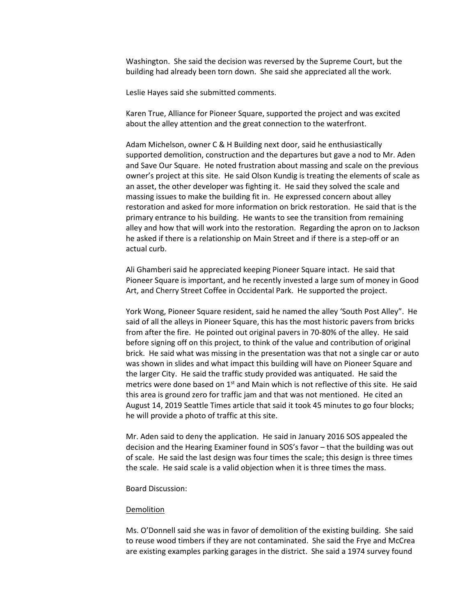Washington. She said the decision was reversed by the Supreme Court, but the building had already been torn down. She said she appreciated all the work.

Leslie Hayes said she submitted comments.

Karen True, Alliance for Pioneer Square, supported the project and was excited about the alley attention and the great connection to the waterfront.

Adam Michelson, owner C & H Building next door, said he enthusiastically supported demolition, construction and the departures but gave a nod to Mr. Aden and Save Our Square. He noted frustration about massing and scale on the previous owner's project at this site. He said Olson Kundig is treating the elements of scale as an asset, the other developer was fighting it. He said they solved the scale and massing issues to make the building fit in. He expressed concern about alley restoration and asked for more information on brick restoration. He said that is the primary entrance to his building. He wants to see the transition from remaining alley and how that will work into the restoration. Regarding the apron on to Jackson he asked if there is a relationship on Main Street and if there is a step-off or an actual curb.

Ali Ghamberi said he appreciated keeping Pioneer Square intact. He said that Pioneer Square is important, and he recently invested a large sum of money in Good Art, and Cherry Street Coffee in Occidental Park. He supported the project.

York Wong, Pioneer Square resident, said he named the alley 'South Post Alley". He said of all the alleys in Pioneer Square, this has the most historic pavers from bricks from after the fire. He pointed out original pavers in 70-80% of the alley. He said before signing off on this project, to think of the value and contribution of original brick. He said what was missing in the presentation was that not a single car or auto was shown in slides and what impact this building will have on Pioneer Square and the larger City. He said the traffic study provided was antiquated. He said the metrics were done based on  $1<sup>st</sup>$  and Main which is not reflective of this site. He said this area is ground zero for traffic jam and that was not mentioned. He cited an August 14, 2019 Seattle Times article that said it took 45 minutes to go four blocks; he will provide a photo of traffic at this site.

Mr. Aden said to deny the application. He said in January 2016 SOS appealed the decision and the Hearing Examiner found in SOS's favor – that the building was out of scale. He said the last design was four times the scale; this design is three times the scale. He said scale is a valid objection when it is three times the mass.

Board Discussion:

#### Demolition

Ms. O'Donnell said she was in favor of demolition of the existing building. She said to reuse wood timbers if they are not contaminated. She said the Frye and McCrea are existing examples parking garages in the district. She said a 1974 survey found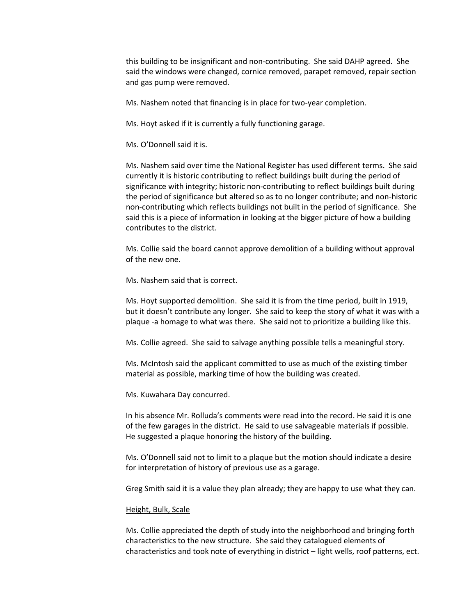this building to be insignificant and non-contributing. She said DAHP agreed. She said the windows were changed, cornice removed, parapet removed, repair section and gas pump were removed.

Ms. Nashem noted that financing is in place for two-year completion.

Ms. Hoyt asked if it is currently a fully functioning garage.

Ms. O'Donnell said it is.

Ms. Nashem said over time the National Register has used different terms. She said currently it is historic contributing to reflect buildings built during the period of significance with integrity; historic non-contributing to reflect buildings built during the period of significance but altered so as to no longer contribute; and non-historic non-contributing which reflects buildings not built in the period of significance. She said this is a piece of information in looking at the bigger picture of how a building contributes to the district.

Ms. Collie said the board cannot approve demolition of a building without approval of the new one.

Ms. Nashem said that is correct.

Ms. Hoyt supported demolition. She said it is from the time period, built in 1919, but it doesn't contribute any longer. She said to keep the story of what it was with a plaque -a homage to what was there. She said not to prioritize a building like this.

Ms. Collie agreed. She said to salvage anything possible tells a meaningful story.

Ms. McIntosh said the applicant committed to use as much of the existing timber material as possible, marking time of how the building was created.

Ms. Kuwahara Day concurred.

In his absence Mr. Rolluda's comments were read into the record. He said it is one of the few garages in the district. He said to use salvageable materials if possible. He suggested a plaque honoring the history of the building.

Ms. O'Donnell said not to limit to a plaque but the motion should indicate a desire for interpretation of history of previous use as a garage.

Greg Smith said it is a value they plan already; they are happy to use what they can.

#### Height, Bulk, Scale

Ms. Collie appreciated the depth of study into the neighborhood and bringing forth characteristics to the new structure. She said they catalogued elements of characteristics and took note of everything in district – light wells, roof patterns, ect.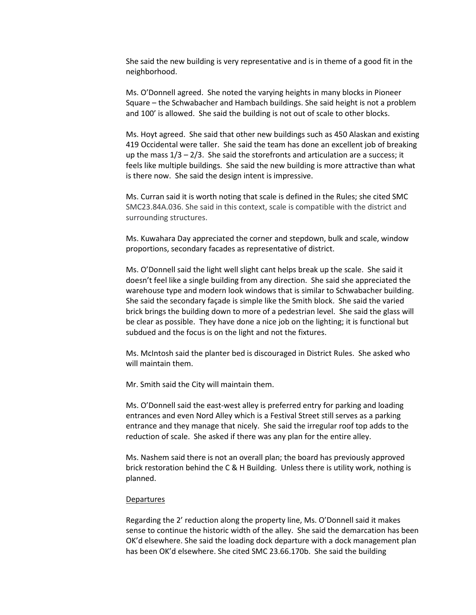She said the new building is very representative and is in theme of a good fit in the neighborhood.

Ms. O'Donnell agreed. She noted the varying heights in many blocks in Pioneer Square – the Schwabacher and Hambach buildings. She said height is not a problem and 100' is allowed. She said the building is not out of scale to other blocks.

Ms. Hoyt agreed. She said that other new buildings such as 450 Alaskan and existing 419 Occidental were taller. She said the team has done an excellent job of breaking up the mass  $1/3 - 2/3$ . She said the storefronts and articulation are a success; it feels like multiple buildings. She said the new building is more attractive than what is there now. She said the design intent is impressive.

Ms. Curran said it is worth noting that scale is defined in the Rules; she cited SMC SMC23.84A.036. She said in this context, scale is compatible with the district and surrounding structures.

Ms. Kuwahara Day appreciated the corner and stepdown, bulk and scale, window proportions, secondary facades as representative of district.

Ms. O'Donnell said the light well slight cant helps break up the scale. She said it doesn't feel like a single building from any direction. She said she appreciated the warehouse type and modern look windows that is similar to Schwabacher building. She said the secondary façade is simple like the Smith block. She said the varied brick brings the building down to more of a pedestrian level. She said the glass will be clear as possible. They have done a nice job on the lighting; it is functional but subdued and the focus is on the light and not the fixtures.

Ms. McIntosh said the planter bed is discouraged in District Rules. She asked who will maintain them.

Mr. Smith said the City will maintain them.

Ms. O'Donnell said the east-west alley is preferred entry for parking and loading entrances and even Nord Alley which is a Festival Street still serves as a parking entrance and they manage that nicely. She said the irregular roof top adds to the reduction of scale. She asked if there was any plan for the entire alley.

Ms. Nashem said there is not an overall plan; the board has previously approved brick restoration behind the C & H Building. Unless there is utility work, nothing is planned.

#### **Departures**

Regarding the 2' reduction along the property line, Ms. O'Donnell said it makes sense to continue the historic width of the alley. She said the demarcation has been OK'd elsewhere. She said the loading dock departure with a dock management plan has been OK'd elsewhere. She cited SMC 23.66.170b. She said the building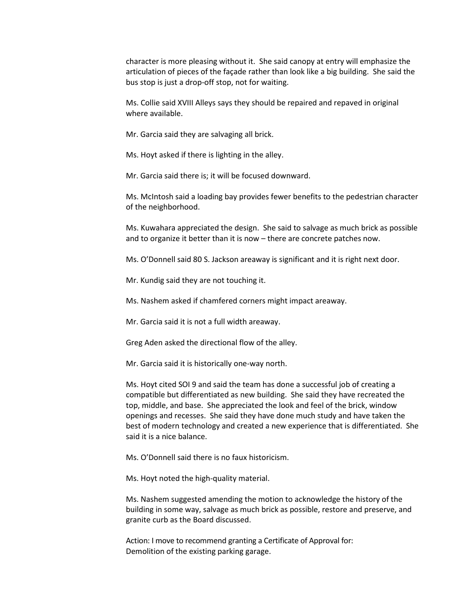character is more pleasing without it. She said canopy at entry will emphasize the articulation of pieces of the façade rather than look like a big building. She said the bus stop is just a drop-off stop, not for waiting.

Ms. Collie said XVIII Alleys says they should be repaired and repaved in original where available.

Mr. Garcia said they are salvaging all brick.

Ms. Hoyt asked if there is lighting in the alley.

Mr. Garcia said there is; it will be focused downward.

Ms. McIntosh said a loading bay provides fewer benefits to the pedestrian character of the neighborhood.

Ms. Kuwahara appreciated the design. She said to salvage as much brick as possible and to organize it better than it is now – there are concrete patches now.

Ms. O'Donnell said 80 S. Jackson areaway is significant and it is right next door.

Mr. Kundig said they are not touching it.

Ms. Nashem asked if chamfered corners might impact areaway.

Mr. Garcia said it is not a full width areaway.

Greg Aden asked the directional flow of the alley.

Mr. Garcia said it is historically one-way north.

Ms. Hoyt cited SOI 9 and said the team has done a successful job of creating a compatible but differentiated as new building. She said they have recreated the top, middle, and base. She appreciated the look and feel of the brick, window openings and recesses. She said they have done much study and have taken the best of modern technology and created a new experience that is differentiated. She said it is a nice balance.

Ms. O'Donnell said there is no faux historicism.

Ms. Hoyt noted the high-quality material.

Ms. Nashem suggested amending the motion to acknowledge the history of the building in some way, salvage as much brick as possible, restore and preserve, and granite curb as the Board discussed.

Action: I move to recommend granting a Certificate of Approval for: Demolition of the existing parking garage.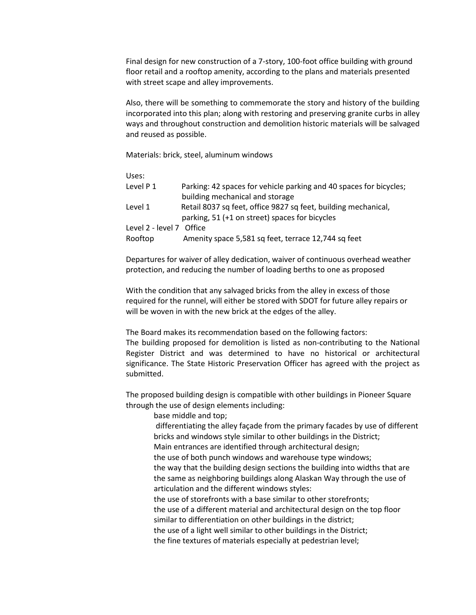Final design for new construction of a 7-story, 100-foot office building with ground floor retail and a rooftop amenity, according to the plans and materials presented with street scape and alley improvements.

Also, there will be something to commemorate the story and history of the building incorporated into this plan; along with restoring and preserving granite curbs in alley ways and throughout construction and demolition historic materials will be salvaged and reused as possible.

Materials: brick, steel, aluminum windows

Uses:

| Level P 1                | Parking: 42 spaces for vehicle parking and 40 spaces for bicycles; |
|--------------------------|--------------------------------------------------------------------|
|                          | building mechanical and storage                                    |
| Level 1                  | Retail 8037 sq feet, office 9827 sq feet, building mechanical,     |
|                          | parking, 51 (+1 on street) spaces for bicycles                     |
| Level 2 - level 7 Office |                                                                    |
| Rooftop                  | Amenity space 5,581 sq feet, terrace 12,744 sq feet                |

Departures for waiver of alley dedication, waiver of continuous overhead weather protection, and reducing the number of loading berths to one as proposed

With the condition that any salvaged bricks from the alley in excess of those required for the runnel, will either be stored with SDOT for future alley repairs or will be woven in with the new brick at the edges of the alley.

The Board makes its recommendation based on the following factors: The building proposed for demolition is listed as non-contributing to the National Register District and was determined to have no historical or architectural significance. The State Historic Preservation Officer has agreed with the project as submitted.

The proposed building design is compatible with other buildings in Pioneer Square through the use of design elements including:

base middle and top;

differentiating the alley façade from the primary facades by use of different bricks and windows style similar to other buildings in the District; Main entrances are identified through architectural design; the use of both punch windows and warehouse type windows; the way that the building design sections the building into widths that are the same as neighboring buildings along Alaskan Way through the use of articulation and the different windows styles: the use of storefronts with a base similar to other storefronts; the use of a different material and architectural design on the top floor similar to differentiation on other buildings in the district;

the use of a light well similar to other buildings in the District;

the fine textures of materials especially at pedestrian level;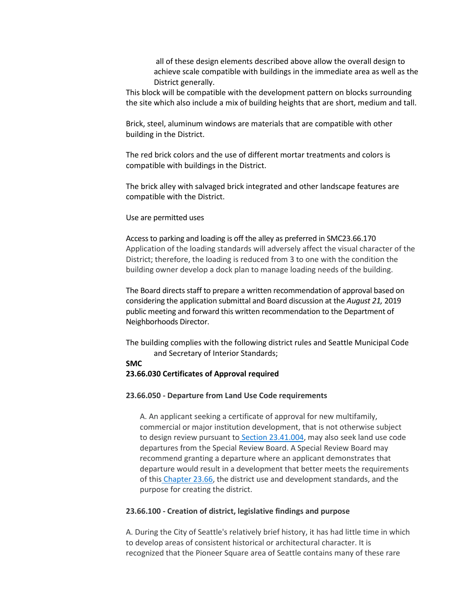all of these design elements described above allow the overall design to achieve scale compatible with buildings in the immediate area as well as the District generally.

This block will be compatible with the development pattern on blocks surrounding the site which also include a mix of building heights that are short, medium and tall.

Brick, steel, aluminum windows are materials that are compatible with other building in the District.

The red brick colors and the use of different mortar treatments and colors is compatible with buildings in the District.

The brick alley with salvaged brick integrated and other landscape features are compatible with the District.

#### Use are permitted uses

Access to parking and loading is off the alley as preferred in SMC23.66.170 Application of the loading standards will adversely affect the visual character of the District; therefore, the loading is reduced from 3 to one with the condition the building owner develop a dock plan to manage loading needs of the building.

The Board directs staff to prepare a written recommendation of approval based on considering the application submittal and Board discussion at the *August 21,* 2019 public meeting and forward this written recommendation to the Department of Neighborhoods Director.

The building complies with the following district rules and Seattle Municipal Code and Secretary of Interior Standards;

#### **SMC**

#### **23.66.030 Certificates of Approval required**

#### **23.66.050 - Departure from Land Use Code requirements**

A. An applicant seeking a certificate of approval for new multifamily, commercial or major institution development, that is not otherwise subject to design review pursuant to [Section 23.41.004,](https://library.municode.com/wa/seattle/codes/municipal_code?nodeId=TIT23LAUSCO_SUBTITLE_IIILAUSRE_CH23.41DERE_23.41.004AP) may also seek land use code departures from the Special Review Board. A Special Review Board may recommend granting a departure where an applicant demonstrates that departure would result in a development that better meets the requirements of this [Chapter 23.66,](https://library.municode.com/wa/seattle/codes/municipal_code?nodeId=TIT23LAUSCO_SUBTITLE_IIILAUSRE_CH23.66SPREDI) the district use and development standards, and the purpose for creating the district.

#### **23.66.100 - Creation of district, legislative findings and purpose**

A. During the City of Seattle's relatively brief history, it has had little time in which to develop areas of consistent historical or architectural character. It is recognized that the Pioneer Square area of Seattle contains many of these rare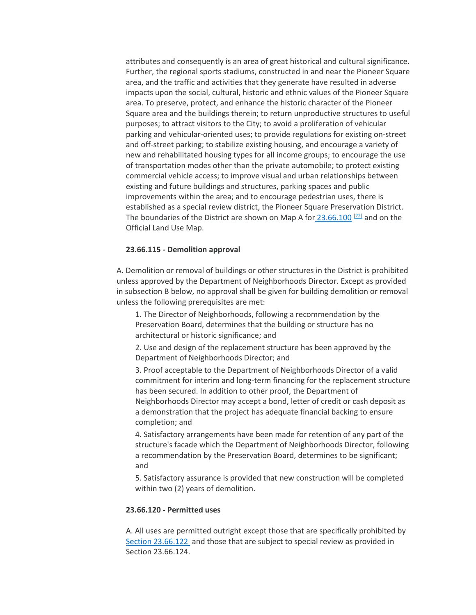attributes and consequently is an area of great historical and cultural significance. Further, the regional sports stadiums, constructed in and near the Pioneer Square area, and the traffic and activities that they generate have resulted in adverse impacts upon the social, cultural, historic and ethnic values of the Pioneer Square area. To preserve, protect, and enhance the historic character of the Pioneer Square area and the buildings therein; to return unproductive structures to useful purposes; to attract visitors to the City; to avoid a proliferation of vehicular parking and vehicular-oriented uses; to provide regulations for existing on-street and off-street parking; to stabilize existing housing, and encourage a variety of new and rehabilitated housing types for all income groups; to encourage the use of transportation modes other than the private automobile; to protect existing commercial vehicle access; to improve visual and urban relationships between existing and future buildings and structures, parking spaces and public improvements within the area; and to encourage pedestrian uses, there is established as a special review district, the Pioneer Square Preservation District. The boundaries of the District are shown on Map A for  $23.66.100$   $221$  and on the Official Land Use Map.

#### **23.66.115 - Demolition approval**

A. Demolition or removal of buildings or other structures in the District is prohibited unless approved by the Department of Neighborhoods Director. Except as provided in subsection B below, no approval shall be given for building demolition or removal unless the following prerequisites are met:

1. The Director of Neighborhoods, following a recommendation by the Preservation Board, determines that the building or structure has no architectural or historic significance; and

2. Use and design of the replacement structure has been approved by the Department of Neighborhoods Director; and

3. Proof acceptable to the Department of Neighborhoods Director of a valid commitment for interim and long-term financing for the replacement structure has been secured. In addition to other proof, the Department of Neighborhoods Director may accept a bond, letter of credit or cash deposit as a demonstration that the project has adequate financial backing to ensure completion; and

4. Satisfactory arrangements have been made for retention of any part of the structure's facade which the Department of Neighborhoods Director, following a recommendation by the Preservation Board, determines to be significant; and

5. Satisfactory assurance is provided that new construction will be completed within two (2) years of demolition.

#### **23.66.120 - Permitted uses**

A. All uses are permitted outright except those that are specifically prohibited b[y](https://library.municode.com/wa/seattle/codes/municipal_code?nodeId=TIT23LAUSCO_SUBTITLE_IIILAUSRE_CH23.66SPREDI_SUBCHAPTER_IIPISQPRDI_23.66.122PRUS) [Section 23.66.122](https://library.municode.com/wa/seattle/codes/municipal_code?nodeId=TIT23LAUSCO_SUBTITLE_IIILAUSRE_CH23.66SPREDI_SUBCHAPTER_IIPISQPRDI_23.66.122PRUS) and those that are subject to special review as provided in Section 23.66.124.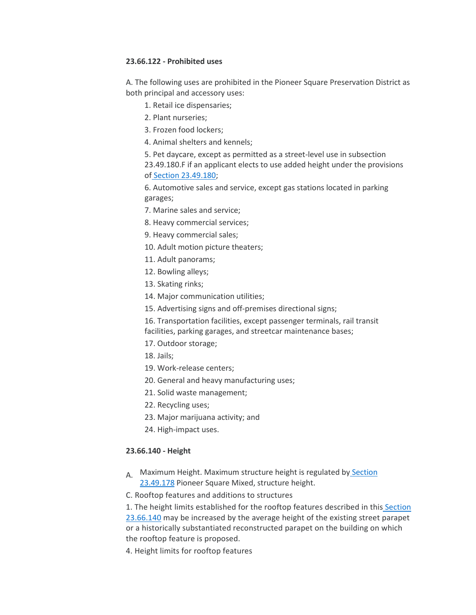#### **23.66.122 - Prohibited uses**

A. The following uses are prohibited in the Pioneer Square Preservation District as both principal and accessory uses:

- 1. Retail ice dispensaries;
- 2. Plant nurseries;
- 3. Frozen food lockers;
- 4. Animal shelters and kennels;
- 5. Pet daycare, except as permitted as a street-level use in subsection 23.49.180.F if an applicant elects to use added height under the provisions of [Section 23.49.180;](https://library.municode.com/wa/seattle/codes/municipal_code?nodeId=TIT23LAUSCO_SUBTITLE_IIILAUSRE_CH23.49DOZO_SUBCHAPTER_VPISQMI_23.49.180ADHEPS85-120ZO)

6. Automotive sales and service, except gas stations located in parking garages;

- 7. Marine sales and service;
- 8. Heavy commercial services;
- 9. Heavy commercial sales;
- 10. Adult motion picture theaters;
- 11. Adult panorams;
- 12. Bowling alleys;
- 13. Skating rinks;
- 14. Major communication utilities;
- 15. Advertising signs and off-premises directional signs;
- 16. Transportation facilities, except passenger terminals, rail transit
- facilities, parking garages, and streetcar maintenance bases;
- 17. Outdoor storage;
- 18. Jails;
- 19. Work-release centers;
- 20. General and heavy manufacturing uses;
- 21. Solid waste management;
- 22. Recycling uses;
- 23. Major marijuana activity; and
- 24. High-impact uses.

#### **23.66.140 - Height**

- A. Maximum Height. Maximum structure height is regulated by Section [23.49.178](https://library.municode.com/wa/seattle/codes/municipal_code?nodeId=TIT23LAUSCO_SUBTITLE_IIILAUSRE_CH23.49DOZO_SUBCHAPTER_VPISQMI_23.49.178PISQMISTHE) Pioneer Square Mixed, structure height.
- C. Rooftop features and additions to structures

1. The height limits established for the rooftop features described in this [Section](https://library.municode.com/wa/seattle/codes/municipal_code?nodeId=TIT23LAUSCO_SUBTITLE_IIILAUSRE_CH23.66SPREDI_SUBCHAPTER_IIPISQPRDI_23.66.140HE)  [23.66.140](https://library.municode.com/wa/seattle/codes/municipal_code?nodeId=TIT23LAUSCO_SUBTITLE_IIILAUSRE_CH23.66SPREDI_SUBCHAPTER_IIPISQPRDI_23.66.140HE) may be increased by the average height of the existing street parapet or a historically substantiated reconstructed parapet on the building on which the rooftop feature is proposed.

4. Height limits for rooftop features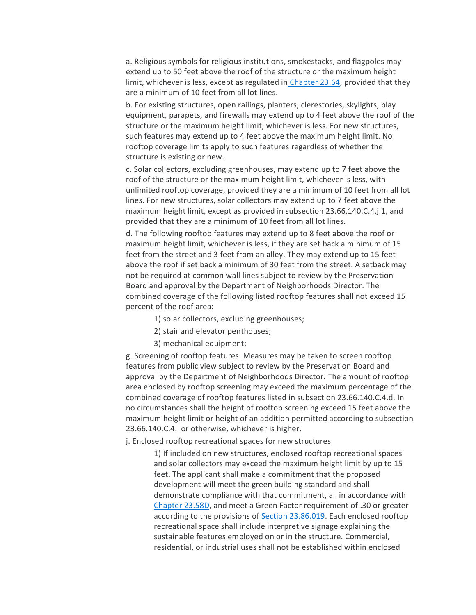a. Religious symbols for religious institutions, smokestacks, and flagpoles may extend up to 50 feet above the roof of the structure or the maximum height limit, whichever is less, except as regulated in [Chapter 23.64,](https://library.municode.com/wa/seattle/codes/municipal_code?nodeId=TIT23LAUSCO_SUBTITLE_IIILAUSRE_CH23.64AIHEOVDI) provided that they are a minimum of 10 feet from all lot lines.

b. For existing structures, open railings, planters, clerestories, skylights, play equipment, parapets, and firewalls may extend up to 4 feet above the roof of the structure or the maximum height limit, whichever is less. For new structures, such features may extend up to 4 feet above the maximum height limit. No rooftop coverage limits apply to such features regardless of whether the structure is existing or new.

c. Solar collectors, excluding greenhouses, may extend up to 7 feet above the roof of the structure or the maximum height limit, whichever is less, with unlimited rooftop coverage, provided they are a minimum of 10 feet from all lot lines. For new structures, solar collectors may extend up to 7 feet above the maximum height limit, except as provided in subsection 23.66.140.C.4.j.1, and provided that they are a minimum of 10 feet from all lot lines.

d. The following rooftop features may extend up to 8 feet above the roof or maximum height limit, whichever is less, if they are set back a minimum of 15 feet from the street and 3 feet from an alley. They may extend up to 15 feet above the roof if set back a minimum of 30 feet from the street. A setback may not be required at common wall lines subject to review by the Preservation Board and approval by the Department of Neighborhoods Director. The combined coverage of the following listed rooftop features shall not exceed 15 percent of the roof area:

- 1) solar collectors, excluding greenhouses;
- 2) stair and elevator penthouses;
- 3) mechanical equipment;

g. Screening of rooftop features. Measures may be taken to screen rooftop features from public view subject to review by the Preservation Board and approval by the Department of Neighborhoods Director. The amount of rooftop area enclosed by rooftop screening may exceed the maximum percentage of the combined coverage of rooftop features listed in subsection 23.66.140.C.4.d. In no circumstances shall the height of rooftop screening exceed 15 feet above the maximum height limit or height of an addition permitted according to subsection 23.66.140.C.4.i or otherwise, whichever is higher.

j. Enclosed rooftop recreational spaces for new structures

1) If included on new structures, enclosed rooftop recreational spaces and solar collectors may exceed the maximum height limit by up to 15 feet. The applicant shall make a commitment that the proposed development will meet the green building standard and shall demonstrate compliance with that commitment, all in accordance wit[h](https://library.municode.com/wa/seattle/codes/municipal_code?nodeId=TIT23LAUSCO_SUBTITLE_IIILAUSRE_CH23.58DGRBUST) [Chapter 23.58D,](https://library.municode.com/wa/seattle/codes/municipal_code?nodeId=TIT23LAUSCO_SUBTITLE_IIILAUSRE_CH23.58DGRBUST) and meet a Green Factor requirement of .30 or greater according to the provisions of [Section 23.86.019.](https://library.municode.com/wa/seattle/codes/municipal_code?nodeId=TIT23LAUSCO_SUBTITLE_IVAD_CH23.86ME_23.86.019GRFAME) Each enclosed rooftop recreational space shall include interpretive signage explaining the sustainable features employed on or in the structure. Commercial, residential, or industrial uses shall not be established within enclosed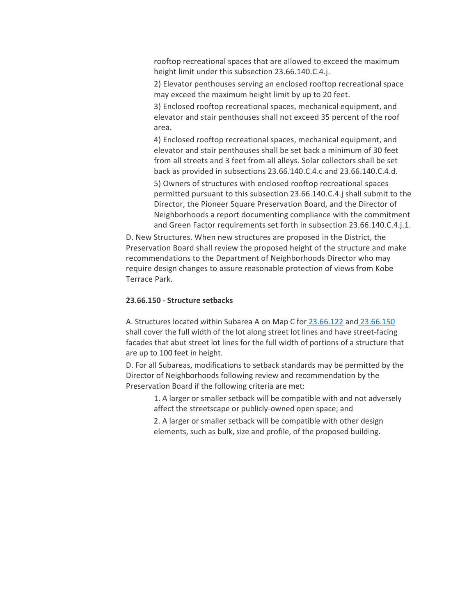rooftop recreational spaces that are allowed to exceed the maximum height limit under this subsection 23.66.140.C.4.j.

2) Elevator penthouses serving an enclosed rooftop recreational space may exceed the maximum height limit by up to 20 feet.

3) Enclosed rooftop recreational spaces, mechanical equipment, and elevator and stair penthouses shall not exceed 35 percent of the roof area.

4) Enclosed rooftop recreational spaces, mechanical equipment, and elevator and stair penthouses shall be set back a minimum of 30 feet from all streets and 3 feet from all alleys. Solar collectors shall be set back as provided in subsections 23.66.140.C.4.c and 23.66.140.C.4.d.

5) Owners of structures with enclosed rooftop recreational spaces permitted pursuant to this subsection 23.66.140.C.4.j shall submit to the Director, the Pioneer Square Preservation Board, and the Director of Neighborhoods a report documenting compliance with the commitment and Green Factor requirements set forth in subsection 23.66.140.C.4.j.1.

D. New Structures. When new structures are proposed in the District, the Preservation Board shall review the proposed height of the structure and make recommendations to the Department of Neighborhoods Director who may require design changes to assure reasonable protection of views from Kobe Terrace Park.

#### **23.66.150 - Structure setbacks**

A. Structures located within Subarea A on Map C for [23.66.122](https://library.municode.com/wa/seattle/codes/municipal_code?nodeId=TIT23LAUSCO_SUBTITLE_IIILAUSRE_CH23.66SPREDI_SUBCHAPTER_IIPISQPRDI_23.66.122PRUS) and [23.66.150](https://library.municode.com/wa/seattle/codes/municipal_code?nodeId=TIT23LAUSCO_SUBTITLE_IIILAUSRE_CH23.66SPREDI_SUBCHAPTER_IIPISQPRDI_23.66.150STSE) shall cover the full width of the lot along street lot lines and have street-facing facades that abut street lot lines for the full width of portions of a structure that are up to 100 feet in height.

D. For all Subareas, modifications to setback standards may be permitted by the Director of Neighborhoods following review and recommendation by the Preservation Board if the following criteria are met:

1. A larger or smaller setback will be compatible with and not adversely affect the streetscape or publicly-owned open space; and

2. A larger or smaller setback will be compatible with other design elements, such as bulk, size and profile, of the proposed building.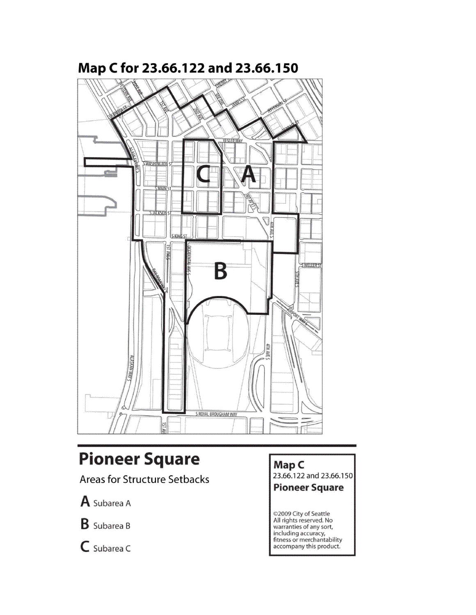

# Map C for 23.66.122 and 23.66.150

# **Pioneer Square**

**Areas for Structure Setbacks** 

A Subarea A

**B** Subarea B

 $C$  Subarea C

Map C

23.66.122 and 23.66.150

**Pioneer Square** 

©2009 City of Seattle<br>All rights reserved. No<br>warranties of any sort, including accuracy,<br>fitness or merchantability accompany this product.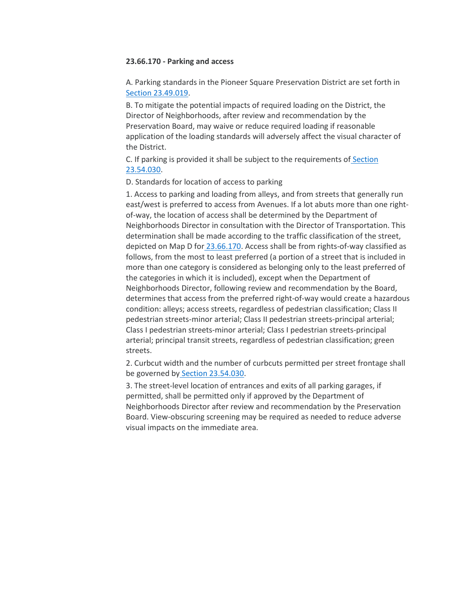#### **23.66.170 - Parking and access**

A. Parking standards in the Pioneer Square Preservation District are set forth i[n](https://library.municode.com/wa/seattle/codes/municipal_code?nodeId=TIT23LAUSCO_SUBTITLE_IIILAUSRE_CH23.49DOZO_SUBCHAPTER_IGEPR_23.49.019PAQULOACRESCLAPAAR) [Section 23.49.019.](https://library.municode.com/wa/seattle/codes/municipal_code?nodeId=TIT23LAUSCO_SUBTITLE_IIILAUSRE_CH23.49DOZO_SUBCHAPTER_IGEPR_23.49.019PAQULOACRESCLAPAAR)

B. To mitigate the potential impacts of required loading on the District, the Director of Neighborhoods, after review and recommendation by the Preservation Board, may waive or reduce required loading if reasonable application of the loading standards will adversely affect the visual character of the District.

C. If parking is provided it shall be subject to the requirements of [Section](https://library.municode.com/wa/seattle/codes/municipal_code?nodeId=TIT23LAUSCO_SUBTITLE_IIILAUSRE_CH23.54QUDESTACOREPASOWAST_23.54.030PASPACST)  [23.54.030.](https://library.municode.com/wa/seattle/codes/municipal_code?nodeId=TIT23LAUSCO_SUBTITLE_IIILAUSRE_CH23.54QUDESTACOREPASOWAST_23.54.030PASPACST)

#### D. Standards for location of access to parking

1. Access to parking and loading from alleys, and from streets that generally run east/west is preferred to access from Avenues. If a lot abuts more than one rightof-way, the location of access shall be determined by the Department of Neighborhoods Director in consultation with the Director of Transportation. This determination shall be made according to the traffic classification of the street, depicted on Map D for [23.66.170.](https://library.municode.com/wa/seattle/codes/municipal_code?nodeId=TIT23LAUSCO_SUBTITLE_IIILAUSRE_CH23.66SPREDI_SUBCHAPTER_IIPISQPRDI_23.66.170PAAC) Access shall be from rights-of-way classified as follows, from the most to least preferred (a portion of a street that is included in more than one category is considered as belonging only to the least preferred of the categories in which it is included), except when the Department of Neighborhoods Director, following review and recommendation by the Board, determines that access from the preferred right-of-way would create a hazardous condition: alleys; access streets, regardless of pedestrian classification; Class II pedestrian streets-minor arterial; Class II pedestrian streets-principal arterial; Class I pedestrian streets-minor arterial; Class I pedestrian streets-principal arterial; principal transit streets, regardless of pedestrian classification; green streets.

2. Curbcut width and the number of curbcuts permitted per street frontage shall be governed by [Section 23.54.030.](https://library.municode.com/wa/seattle/codes/municipal_code?nodeId=TIT23LAUSCO_SUBTITLE_IIILAUSRE_CH23.54QUDESTACOREPASOWAST_23.54.030PASPACST)

3. The street-level location of entrances and exits of all parking garages, if permitted, shall be permitted only if approved by the Department of Neighborhoods Director after review and recommendation by the Preservation Board. View-obscuring screening may be required as needed to reduce adverse visual impacts on the immediate area.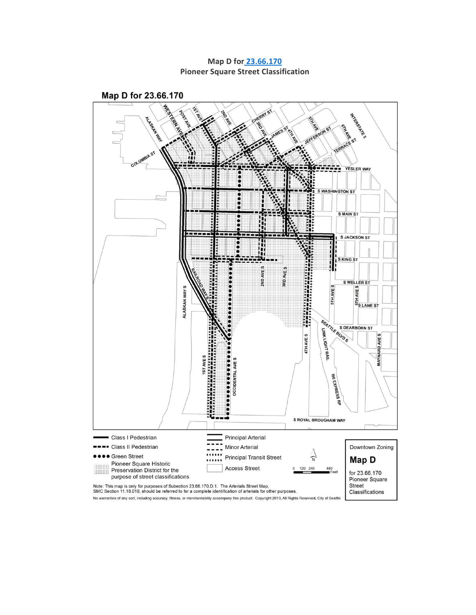**Map D for [23.66.170](https://library.municode.com/wa/seattle/codes/municipal_code?nodeId=TIT23LAUSCO_SUBTITLE_IIILAUSRE_CH23.66SPREDI_SUBCHAPTER_IIPISQPRDI_23.66.170PAAC) Pioneer Square Street Classification**

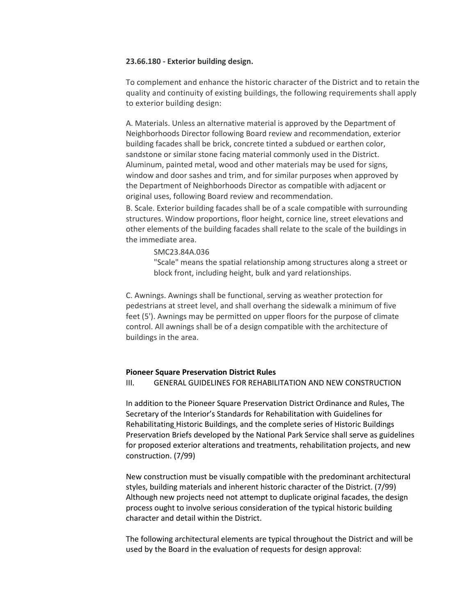#### **23.66.180 - Exterior building design.**

To complement and enhance the historic character of the District and to retain the quality and continuity of existing buildings, the following requirements shall apply to exterior building design:

A. Materials. Unless an alternative material is approved by the Department of Neighborhoods Director following Board review and recommendation, exterior building facades shall be brick, concrete tinted a subdued or earthen color, sandstone or similar stone facing material commonly used in the District. Aluminum, painted metal, wood and other materials may be used for signs, window and door sashes and trim, and for similar purposes when approved by the Department of Neighborhoods Director as compatible with adjacent or original uses, following Board review and recommendation.

B. Scale. Exterior building facades shall be of a scale compatible with surrounding structures. Window proportions, floor height, cornice line, street elevations and other elements of the building facades shall relate to the scale of the buildings in the immediate area.

SMC23.84A.036

"Scale" means the spatial relationship among structures along a street or block front, including height, bulk and yard relationships.

C. Awnings. Awnings shall be functional, serving as weather protection for pedestrians at street level, and shall overhang the sidewalk a minimum of five feet (5'). Awnings may be permitted on upper floors for the purpose of climate control. All awnings shall be of a design compatible with the architecture of buildings in the area.

#### **Pioneer Square Preservation District Rules**

III. GENERAL GUIDELINES FOR REHABILITATION AND NEW CONSTRUCTION

In addition to the Pioneer Square Preservation District Ordinance and Rules, The Secretary of the Interior's Standards for Rehabilitation with Guidelines for Rehabilitating Historic Buildings, and the complete series of Historic Buildings Preservation Briefs developed by the National Park Service shall serve as guidelines for proposed exterior alterations and treatments, rehabilitation projects, and new construction. (7/99)

New construction must be visually compatible with the predominant architectural styles, building materials and inherent historic character of the District. (7/99) Although new projects need not attempt to duplicate original facades, the design process ought to involve serious consideration of the typical historic building character and detail within the District.

The following architectural elements are typical throughout the District and will be used by the Board in the evaluation of requests for design approval: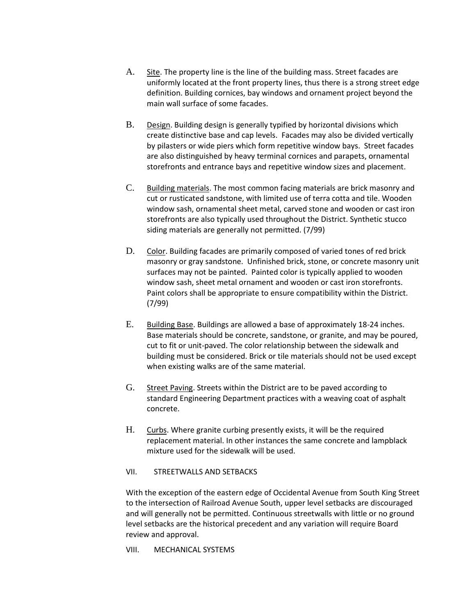- A. Site. The property line is the line of the building mass. Street facades are uniformly located at the front property lines, thus there is a strong street edge definition. Building cornices, bay windows and ornament project beyond the main wall surface of some facades.
- B. Design. Building design is generally typified by horizontal divisions which create distinctive base and cap levels. Facades may also be divided vertically by pilasters or wide piers which form repetitive window bays. Street facades are also distinguished by heavy terminal cornices and parapets, ornamental storefronts and entrance bays and repetitive window sizes and placement.
- C. Building materials. The most common facing materials are brick masonry and cut or rusticated sandstone, with limited use of terra cotta and tile. Wooden window sash, ornamental sheet metal, carved stone and wooden or cast iron storefronts are also typically used throughout the District. Synthetic stucco siding materials are generally not permitted. (7/99)
- D. Color. Building facades are primarily composed of varied tones of red brick masonry or gray sandstone. Unfinished brick, stone, or concrete masonry unit surfaces may not be painted. Painted color is typically applied to wooden window sash, sheet metal ornament and wooden or cast iron storefronts. Paint colors shall be appropriate to ensure compatibility within the District. (7/99)
- E. Building Base. Buildings are allowed a base of approximately 18-24 inches. Base materials should be concrete, sandstone, or granite, and may be poured, cut to fit or unit-paved. The color relationship between the sidewalk and building must be considered. Brick or tile materials should not be used except when existing walks are of the same material.
- G. Street Paving. Streets within the District are to be paved according to standard Engineering Department practices with a weaving coat of asphalt concrete.
- H. Curbs. Where granite curbing presently exists, it will be the required replacement material. In other instances the same concrete and lampblack mixture used for the sidewalk will be used.

#### VII. STREETWALLS AND SETBACKS

With the exception of the eastern edge of Occidental Avenue from South King Street to the intersection of Railroad Avenue South, upper level setbacks are discouraged and will generally not be permitted. Continuous streetwalls with little or no ground level setbacks are the historical precedent and any variation will require Board review and approval.

VIII. MECHANICAL SYSTEMS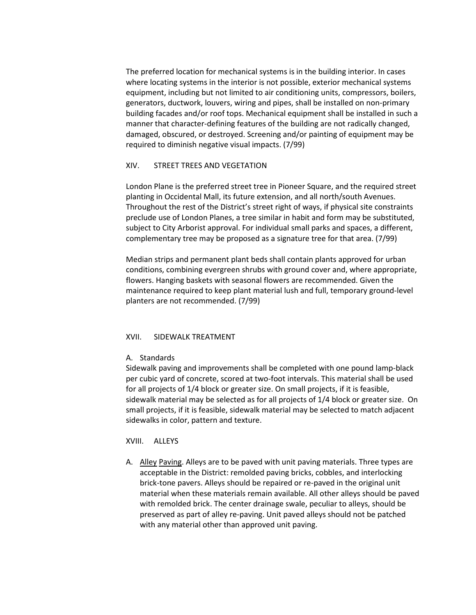The preferred location for mechanical systems is in the building interior. In cases where locating systems in the interior is not possible, exterior mechanical systems equipment, including but not limited to air conditioning units, compressors, boilers, generators, ductwork, louvers, wiring and pipes, shall be installed on non-primary building facades and/or roof tops. Mechanical equipment shall be installed in such a manner that character-defining features of the building are not radically changed, damaged, obscured, or destroyed. Screening and/or painting of equipment may be required to diminish negative visual impacts. (7/99)

#### XIV. STREET TREES AND VEGETATION

London Plane is the preferred street tree in Pioneer Square, and the required street planting in Occidental Mall, its future extension, and all north/south Avenues. Throughout the rest of the District's street right of ways, if physical site constraints preclude use of London Planes, a tree similar in habit and form may be substituted, subject to City Arborist approval. For individual small parks and spaces, a different, complementary tree may be proposed as a signature tree for that area. (7/99)

Median strips and permanent plant beds shall contain plants approved for urban conditions, combining evergreen shrubs with ground cover and, where appropriate, flowers. Hanging baskets with seasonal flowers are recommended. Given the maintenance required to keep plant material lush and full, temporary ground-level planters are not recommended. (7/99)

#### XVII. SIDEWALK TREATMENT

#### A. Standards

Sidewalk paving and improvements shall be completed with one pound lamp-black per cubic yard of concrete, scored at two-foot intervals. This material shall be used for all projects of 1/4 block or greater size. On small projects, if it is feasible, sidewalk material may be selected as for all projects of 1/4 block or greater size. On small projects, if it is feasible, sidewalk material may be selected to match adjacent sidewalks in color, pattern and texture.

#### XVIII. ALLEYS

A. Alley Paving. Alleys are to be paved with unit paving materials. Three types are acceptable in the District: remolded paving bricks, cobbles, and interlocking brick-tone pavers. Alleys should be repaired or re-paved in the original unit material when these materials remain available. All other alleys should be paved with remolded brick. The center drainage swale, peculiar to alleys, should be preserved as part of alley re-paving. Unit paved alleys should not be patched with any material other than approved unit paving.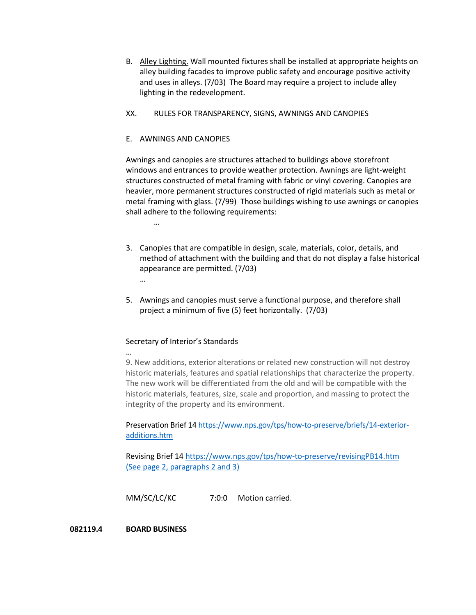- B. Alley Lighting. Wall mounted fixtures shall be installed at appropriate heights on alley building facades to improve public safety and encourage positive activity and uses in alleys. (7/03) The Board may require a project to include alley lighting in the redevelopment.
- XX. RULES FOR TRANSPARENCY, SIGNS, AWNINGS AND CANOPIES

#### E. AWNINGS AND CANOPIES

…

Awnings and canopies are structures attached to buildings above storefront windows and entrances to provide weather protection. Awnings are light-weight structures constructed of metal framing with fabric or vinyl covering. Canopies are heavier, more permanent structures constructed of rigid materials such as metal or metal framing with glass. (7/99) Those buildings wishing to use awnings or canopies shall adhere to the following requirements:

- 3. Canopies that are compatible in design, scale, materials, color, details, and method of attachment with the building and that do not display a false historical appearance are permitted. (7/03) …
- 5. Awnings and canopies must serve a functional purpose, and therefore shall project a minimum of five (5) feet horizontally. (7/03)

#### Secretary of Interior's Standards

… 9. New additions, exterior alterations or related new construction will not destroy historic materials, features and spatial relationships that characterize the property. The new work will be differentiated from the old and will be compatible with the historic materials, features, size, scale and proportion, and massing to protect the integrity of the property and its environment.

Preservation Brief 1[4 https://www.nps.gov/tps/how-to-preserve/briefs/14-exterior](https://www.nps.gov/tps/how-to-preserve/briefs/14-exterior-additions.htm)[additions.htm](https://www.nps.gov/tps/how-to-preserve/briefs/14-exterior-additions.htm)

Revising Brief 1[4 https://www.nps.gov/tps/how-to-preserve/revisingPB14.htm](https://www.nps.gov/tps/how-to-preserve/revisingPB14.htm) (See page 2, paragraphs 2 and 3)

MM/SC/LC/KC 7:0:0 Motion carried.

#### **082119.4 BOARD BUSINESS**